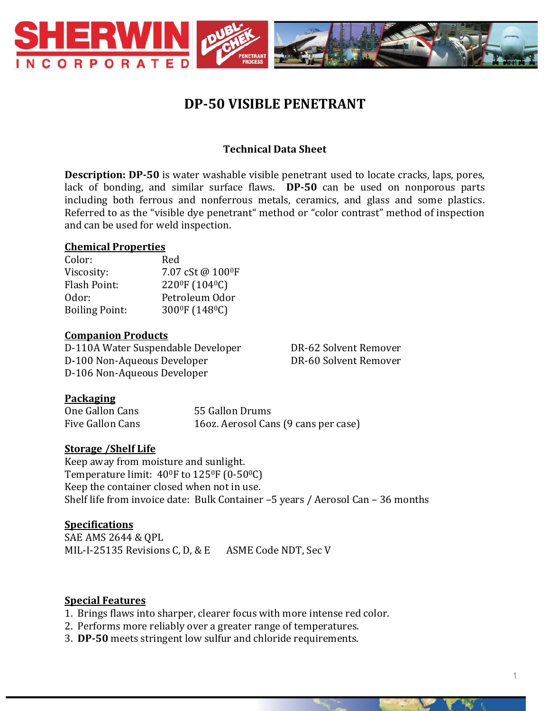

# **DP-50 VISIBLE PENETRANT**

## **Technical Data Sheet**

**Description: DP-50** is water washable visible penetrant used to locate cracks, laps, pores, lack of bonding, and similar surface flaws. **DP-50** can be used on nonporous parts including both ferrous and nonferrous metals, ceramics, and glass and some plastics. Referred to as the "visible dye penetrant" method or "color contrast" method of inspection and can be used for weld inspection.

#### **Chemical Properties**

| 7.07 cSt@100ºF                          |
|-----------------------------------------|
| 220 <sup>0</sup> F (104 <sup>0</sup> C) |
| Petroleum Odor                          |
| 300°F (148°C)                           |
|                                         |

#### **Companion Products**

D-110A Water Suspendable Developer DR-62 Solvent Remover D-100 Non-Aqueous Developer DR-60 Solvent Remover D-106 Non-Aqueous Developer

#### **Packaging**

| One Gallon Cans  | 55 Gallon Drums                      |
|------------------|--------------------------------------|
| Five Gallon Cans | 16oz. Aerosol Cans (9 cans per case) |

#### **Storage /Shelf Life**

Keep away from moisture and sunlight. Temperature limit: 40<sup>0</sup>F to 125<sup>0</sup>F (0-50<sup>0</sup>C) Keep the container closed when not in use. Shelf life from invoice date: Bulk Container –5 years / Aerosol Can – 36 months

## **Specifications**

SAE AMS 2644 & QPL MIL-I-25135 Revisions C, D, & E ASME Code NDT, Sec V

#### **Special Features**

- 1. Brings flaws into sharper, clearer focus with more intense red color.
- 2. Performs more reliably over a greater range of temperatures.
- 3. **DP-50** meets stringent low sulfur and chloride requirements.